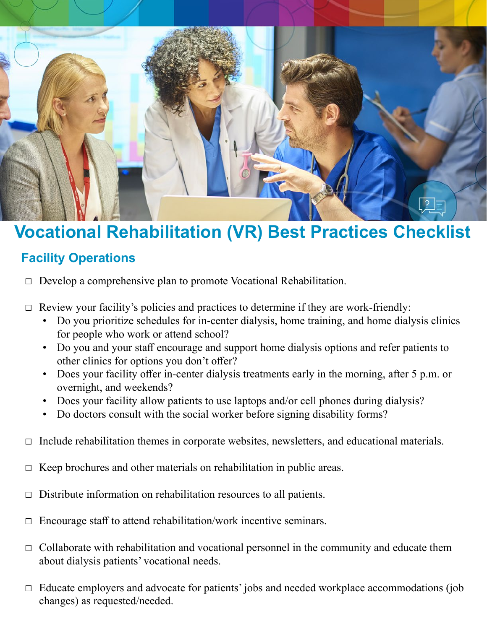

# **Vocational Rehabilitation (VR) Best Practices Checklist**

## **Facility Operations**

 $\Box$  Develop a comprehensive plan to promote Vocational Rehabilitation.

- $\Box$  Review your facility's policies and practices to determine if they are work-friendly:
	- Do you prioritize schedules for in-center dialysis, home training, and home dialysis clinics for people who work or attend school?
	- Do you and your staff encourage and support home dialysis options and refer patients to other clinics for options you don't offer?
	- Does your facility offer in-center dialysis treatments early in the morning, after 5 p.m. or overnight, and weekends?
	- Does your facility allow patients to use laptops and/or cell phones during dialysis?
	- Do doctors consult with the social worker before signing disability forms?
- $\Box$  Include rehabilitation themes in corporate websites, newsletters, and educational materials.
- $\Box$  Keep brochures and other materials on rehabilitation in public areas.
- $\Box$  Distribute information on rehabilitation resources to all patients.
- $\Box$  Encourage staff to attend rehabilitation/work incentive seminars.
- $\Box$  Collaborate with rehabilitation and vocational personnel in the community and educate them about dialysis patients' vocational needs.
- $\Box$  Educate employers and advocate for patients' jobs and needed workplace accommodations (job changes) as requested/needed.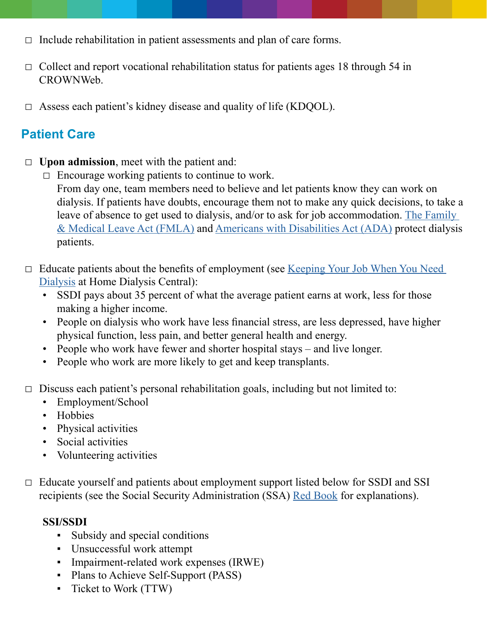- $\Box$  Include rehabilitation in patient assessments and plan of care forms.
- $\Box$  Collect and report vocational rehabilitation status for patients ages 18 through 54 in CROWNWeb.
- $\Box$  Assess each patient's kidney disease and quality of life (KDQOL).

## **Patient Care**

- □ **Upon admission**, meet with the patient and:
	- $\Box$  Encourage working patients to continue to work. From day one, team members need to believe and let patients know they can work on dialysis. If patients have doubts, encourage them not to make any quick decisions, to take a leave of absence to get used to dialysis, and/or to ask for job accommodation. [The Family](https://www.dol.gov/whd/fmla/)  [& Medical Leave Act \(FMLA\)](https://www.dol.gov/whd/fmla/) and [Americans with Disabilities Act \(ADA\)](https://www.eeoc.gov/facts/ada18.html) protect dialysis patients.
- □ Educate patients about the benefits of employment (see Keeping Your Job When You Need [Dialysis](https://www.homedialysis.org/life-at-home/articles/keeping-your-job-when-you-need-dialysis) at Home Dialysis Central):
	- SSDI pays about 35 percent of what the average patient earns at work, less for those making a higher income.
	- People on dialysis who work have less financial stress, are less depressed, have higher physical function, less pain, and better general health and energy.
	- People who work have fewer and shorter hospital stays and live longer.
	- People who work are more likely to get and keep transplants.
- $\Box$  Discuss each patient's personal rehabilitation goals, including but not limited to:
	- Employment/School
	- Hobbies
	- Physical activities
	- Social activities
	- Volunteering activities
- $\Box$  Educate yourself and patients about employment support listed below for SSDI and SSI recipients (see the Social Security Administration (SSA) [Red Book](https://www.ssa.gov/redbook/) for explanations).

#### **SSI/SSDI**

- Subsidy and special conditions
- Unsuccessful work attempt
- Impairment-related work expenses (IRWE)
- Plans to Achieve Self-Support (PASS)
- Ticket to Work (TTW)